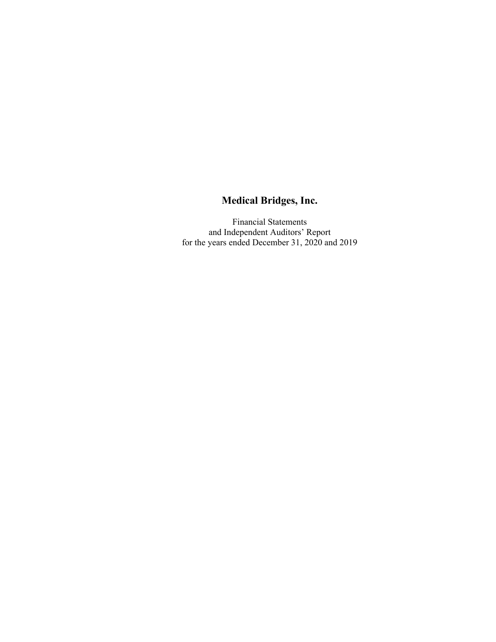Financial Statements and Independent Auditors' Report for the years ended December 31, 2020 and 2019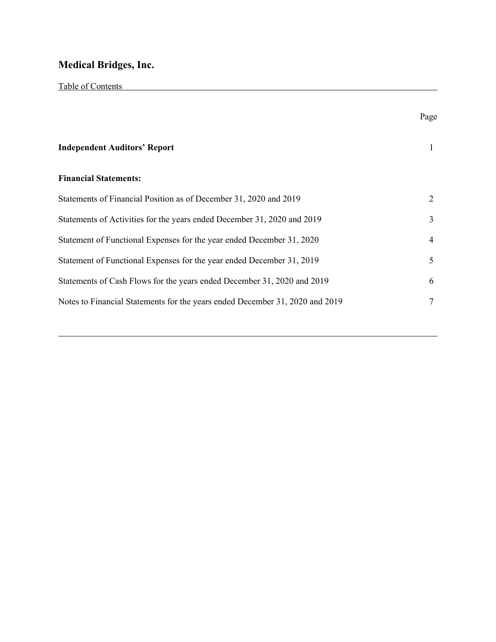|                                                                              | Page |
|------------------------------------------------------------------------------|------|
| <b>Independent Auditors' Report</b>                                          | 1    |
| <b>Financial Statements:</b>                                                 |      |
| Statements of Financial Position as of December 31, 2020 and 2019            | 2    |
| Statements of Activities for the years ended December 31, 2020 and 2019      | 3    |
| Statement of Functional Expenses for the year ended December 31, 2020        | 4    |
| Statement of Functional Expenses for the year ended December 31, 2019        | 5    |
| Statements of Cash Flows for the years ended December 31, 2020 and 2019      | 6    |
| Notes to Financial Statements for the years ended December 31, 2020 and 2019 |      |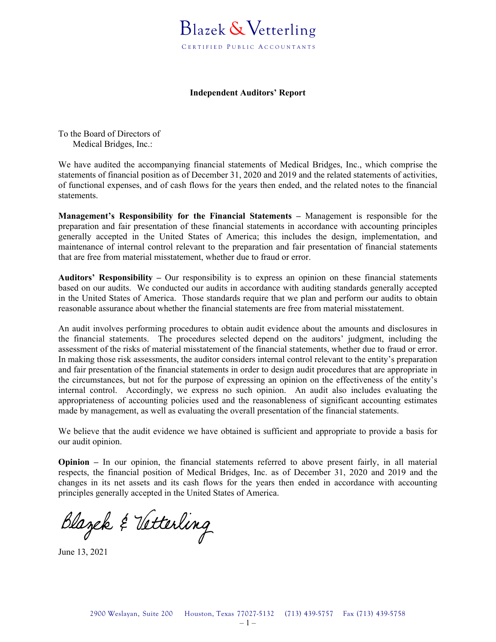

#### **Independent Auditors' Report**

To the Board of Directors of Medical Bridges, Inc.:

We have audited the accompanying financial statements of Medical Bridges, Inc., which comprise the statements of financial position as of December 31, 2020 and 2019 and the related statements of activities, of functional expenses, and of cash flows for the years then ended, and the related notes to the financial statements.

**Management's Responsibility for the Financial Statements –** Management is responsible for the preparation and fair presentation of these financial statements in accordance with accounting principles generally accepted in the United States of America; this includes the design, implementation, and maintenance of internal control relevant to the preparation and fair presentation of financial statements that are free from material misstatement, whether due to fraud or error.

**Auditors' Responsibility –** Our responsibility is to express an opinion on these financial statements based on our audits. We conducted our audits in accordance with auditing standards generally accepted in the United States of America. Those standards require that we plan and perform our audits to obtain reasonable assurance about whether the financial statements are free from material misstatement.

An audit involves performing procedures to obtain audit evidence about the amounts and disclosures in the financial statements. The procedures selected depend on the auditors' judgment, including the assessment of the risks of material misstatement of the financial statements, whether due to fraud or error. In making those risk assessments, the auditor considers internal control relevant to the entity's preparation and fair presentation of the financial statements in order to design audit procedures that are appropriate in the circumstances, but not for the purpose of expressing an opinion on the effectiveness of the entity's internal control. Accordingly, we express no such opinion. An audit also includes evaluating the appropriateness of accounting policies used and the reasonableness of significant accounting estimates made by management, as well as evaluating the overall presentation of the financial statements.

We believe that the audit evidence we have obtained is sufficient and appropriate to provide a basis for our audit opinion.

**Opinion –** In our opinion, the financial statements referred to above present fairly, in all material respects, the financial position of Medical Bridges, Inc. as of December 31, 2020 and 2019 and the changes in its net assets and its cash flows for the years then ended in accordance with accounting principles generally accepted in the United States of America.

Blazek & Vetterling

June 13, 2021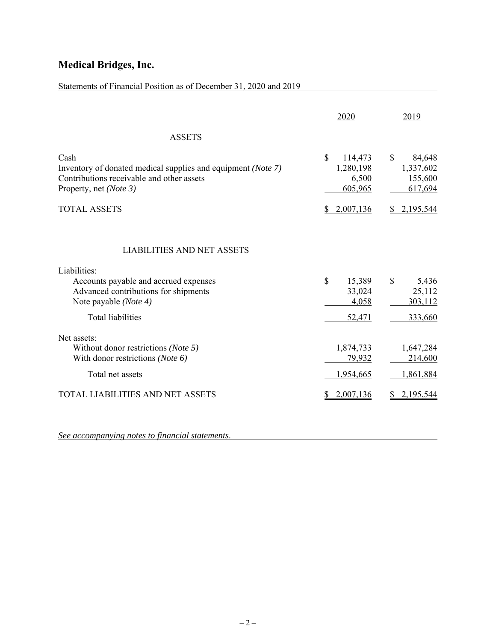## Statements of Financial Position as of December 31, 2020 and 2019

|                                                                                                                                                             | 2020                                           | 2019                                                      |
|-------------------------------------------------------------------------------------------------------------------------------------------------------------|------------------------------------------------|-----------------------------------------------------------|
| <b>ASSETS</b>                                                                                                                                               |                                                |                                                           |
| Cash<br>Inventory of donated medical supplies and equipment (Note 7)<br>Contributions receivable and other assets<br>Property, net (Note 3)                 | \$<br>114,473<br>1,280,198<br>6,500<br>605,965 | $\mathbb{S}$<br>84,648<br>1,337,602<br>155,600<br>617,694 |
| <b>TOTAL ASSETS</b>                                                                                                                                         | 2,007,136                                      | 2,195,544                                                 |
| <b>LIABILITIES AND NET ASSETS</b><br>Liabilities:<br>Accounts payable and accrued expenses<br>Advanced contributions for shipments<br>Note payable (Note 4) | \$<br>15,389<br>33,024<br>4,058                | $\mathbb{S}$<br>5,436<br>25,112<br>303,112                |
| <b>Total liabilities</b>                                                                                                                                    | 52,471                                         | 333,660                                                   |
| Net assets:<br>Without donor restrictions (Note 5)<br>With donor restrictions (Note 6)<br>Total net assets                                                  | 1,874,733<br>79,932<br>1,954,665               | 1,647,284<br>214,600<br>1,861,884                         |
| TOTAL LIABILITIES AND NET ASSETS                                                                                                                            | 2,007,136                                      | 2.195.544                                                 |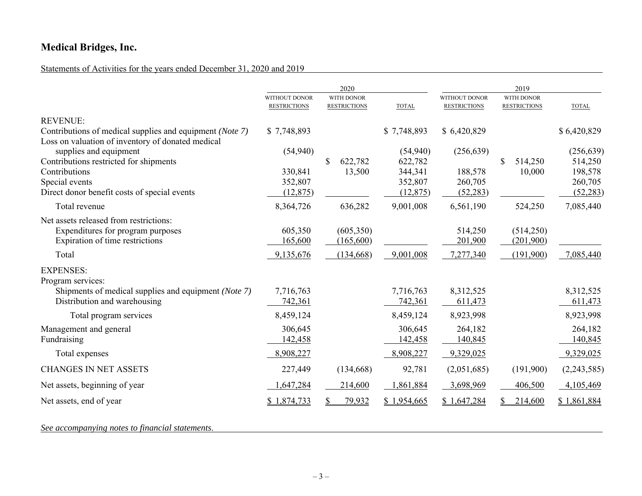## Statements of Activities for the years ended December 31, 2020 and 2019

|                                                          |                                      | 2020                                     |                    |                                             | 2019                                     |                    |
|----------------------------------------------------------|--------------------------------------|------------------------------------------|--------------------|---------------------------------------------|------------------------------------------|--------------------|
|                                                          | WITHOUT DONOR<br><b>RESTRICTIONS</b> | <b>WITH DONOR</b><br><b>RESTRICTIONS</b> | <b>TOTAL</b>       | <b>WITHOUT DONOR</b><br><b>RESTRICTIONS</b> | <b>WITH DONOR</b><br><b>RESTRICTIONS</b> | <b>TOTAL</b>       |
| <b>REVENUE:</b>                                          |                                      |                                          |                    |                                             |                                          |                    |
| Contributions of medical supplies and equipment (Note 7) | \$7,748,893                          |                                          | \$7,748,893        | \$6,420,829                                 |                                          | \$6,420,829        |
| Loss on valuation of inventory of donated medical        |                                      |                                          |                    |                                             |                                          |                    |
| supplies and equipment                                   | (54, 940)                            |                                          | (54, 940)          | (256, 639)                                  |                                          | (256, 639)         |
| Contributions restricted for shipments<br>Contributions  | 330,841                              | \$<br>622,782<br>13,500                  | 622,782<br>344,341 | 188,578                                     | \$<br>514,250<br>10,000                  | 514,250<br>198,578 |
| Special events                                           | 352,807                              |                                          | 352,807            | 260,705                                     |                                          | 260,705            |
| Direct donor benefit costs of special events             | (12, 875)                            |                                          | (12, 875)          | (52, 283)                                   |                                          | (52, 283)          |
| Total revenue                                            | 8,364,726                            | 636,282                                  | 9,001,008          | 6,561,190                                   | 524,250                                  | 7,085,440          |
| Net assets released from restrictions:                   |                                      |                                          |                    |                                             |                                          |                    |
| Expenditures for program purposes                        | 605,350                              | (605,350)                                |                    | 514,250                                     | (514,250)                                |                    |
| Expiration of time restrictions                          | 165,600                              | (165,600)                                |                    | 201,900                                     | (201,900)                                |                    |
| Total                                                    | 9,135,676                            | (134, 668)                               | 9,001,008          | 7,277,340                                   | (191,900)                                | 7,085,440          |
| <b>EXPENSES:</b>                                         |                                      |                                          |                    |                                             |                                          |                    |
| Program services:                                        |                                      |                                          |                    |                                             |                                          |                    |
| Shipments of medical supplies and equipment (Note 7)     | 7,716,763                            |                                          | 7,716,763          | 8,312,525                                   |                                          | 8,312,525          |
| Distribution and warehousing                             | 742,361                              |                                          | 742,361            | 611,473                                     |                                          | 611,473            |
| Total program services                                   | 8,459,124                            |                                          | 8,459,124          | 8,923,998                                   |                                          | 8,923,998          |
| Management and general                                   | 306,645                              |                                          | 306,645            | 264,182                                     |                                          | 264,182            |
| Fundraising                                              | 142,458                              |                                          | 142,458            | 140,845                                     |                                          | 140,845            |
| Total expenses                                           | 8,908,227                            |                                          | 8,908,227          | 9,329,025                                   |                                          | 9,329,025          |
| <b>CHANGES IN NET ASSETS</b>                             | 227,449                              | (134, 668)                               | 92,781             | (2,051,685)                                 | (191,900)                                | (2,243,585)        |
| Net assets, beginning of year                            | 1,647,284                            | 214,600                                  | 1,861,884          | 3,698,969                                   | 406,500                                  | 4,105,469          |
| Net assets, end of year                                  | \$1,874,733                          | 79,932                                   | \$1,954,665        | \$1,647,284                                 | 214,600                                  | \$1,861,884        |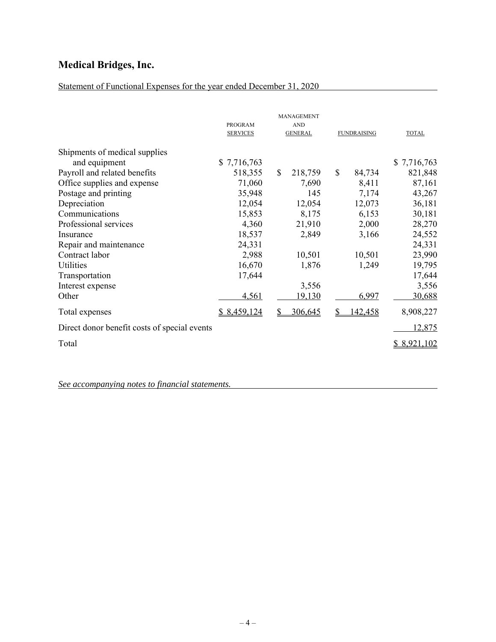## Statement of Functional Expenses for the year ended December 31, 2020

|                                              | PROGRAM<br><b>SERVICES</b> | MANAGEMENT<br><b>AND</b><br><b>GENERAL</b> | <b>FUNDRAISING</b>  | <b>TOTAL</b> |
|----------------------------------------------|----------------------------|--------------------------------------------|---------------------|--------------|
| Shipments of medical supplies                |                            |                                            |                     |              |
| and equipment                                | \$7,716,763                |                                            |                     | \$7,716,763  |
| Payroll and related benefits                 | 518,355                    | $\mathbf{\$}$<br>218,759                   | \$<br>84,734        | 821,848      |
| Office supplies and expense                  | 71,060                     | 7,690                                      | 8,411               | 87,161       |
| Postage and printing                         | 35,948                     | 145                                        | 7,174               | 43,267       |
| Depreciation                                 | 12,054                     | 12,054                                     | 12,073              | 36,181       |
| Communications                               | 15,853                     | 8,175                                      | 6,153               | 30,181       |
| Professional services                        | 4,360                      | 21,910                                     | 2,000               | 28,270       |
| Insurance                                    | 18,537                     | 2,849                                      | 3,166               | 24,552       |
| Repair and maintenance                       | 24,331                     |                                            |                     | 24,331       |
| Contract labor                               | 2,988                      | 10,501                                     | 10,501              | 23,990       |
| Utilities                                    | 16,670                     | 1,876                                      | 1,249               | 19,795       |
| Transportation                               | 17,644                     |                                            |                     | 17,644       |
| Interest expense                             |                            | 3,556                                      |                     | 3,556        |
| Other                                        | 4,561                      | 19,130                                     | 6,997               | 30,688       |
| Total expenses                               | \$8,459,124                | 306,645<br>S                               | <u>142,458</u><br>S | 8,908,227    |
| Direct donor benefit costs of special events |                            |                                            |                     | 12,875       |
| Total                                        |                            |                                            |                     | \$ 8,921,102 |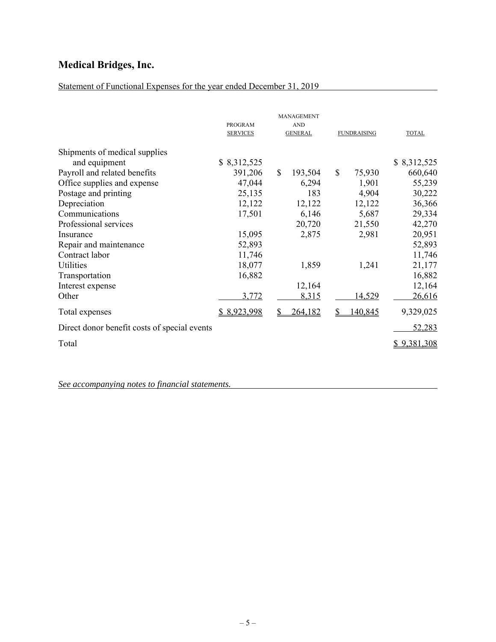## Statement of Functional Expenses for the year ended December 31, 2019

|                                              | PROGRAM<br><b>SERVICES</b> | MANAGEMENT<br><b>AND</b><br><b>GENERAL</b> | <b>FUNDRAISING</b>     | <b>TOTAL</b>       |
|----------------------------------------------|----------------------------|--------------------------------------------|------------------------|--------------------|
| Shipments of medical supplies                |                            |                                            |                        |                    |
| and equipment                                | \$ 8,312,525               |                                            |                        | \$8,312,525        |
| Payroll and related benefits                 | 391,206                    | $\mathbb{S}$<br>193,504                    | $\mathbb{S}$<br>75,930 | 660,640            |
| Office supplies and expense                  | 47,044                     | 6,294                                      | 1,901                  | 55,239             |
| Postage and printing                         | 25,135                     | 183                                        | 4,904                  | 30,222             |
| Depreciation                                 | 12,122                     | 12,122                                     | 12,122                 | 36,366             |
| Communications                               | 17,501                     | 6,146                                      | 5,687                  | 29,334             |
| Professional services                        |                            | 20,720                                     | 21,550                 | 42,270             |
| Insurance                                    | 15,095                     | 2,875                                      | 2,981                  | 20,951             |
| Repair and maintenance                       | 52,893                     |                                            |                        | 52,893             |
| Contract labor                               | 11,746                     |                                            |                        | 11,746             |
| Utilities                                    | 18,077                     | 1,859                                      | 1,241                  | 21,177             |
| Transportation                               | 16,882                     |                                            |                        | 16,882             |
| Interest expense                             |                            | 12,164                                     |                        | 12,164             |
| Other                                        | 3,772                      | 8,315                                      | <u>14,529</u>          | 26,616             |
| Total expenses                               | \$8,923,998                | 264,182<br>S                               | 140,845<br>S           | 9,329,025          |
| Direct donor benefit costs of special events |                            |                                            |                        | 52,283             |
| Total                                        |                            |                                            |                        | <u>\$9,381,308</u> |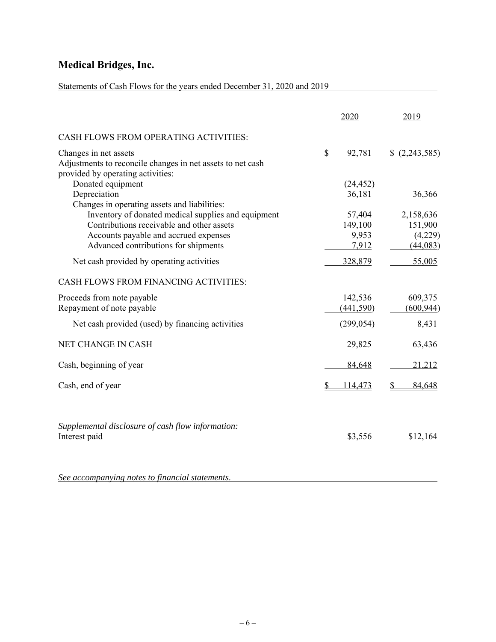## Statements of Cash Flows for the years ended December 31, 2020 and 2019

|                                                                                                                          | 2020          | 2019         |
|--------------------------------------------------------------------------------------------------------------------------|---------------|--------------|
| CASH FLOWS FROM OPERATING ACTIVITIES:                                                                                    |               |              |
| Changes in net assets<br>Adjustments to reconcile changes in net assets to net cash<br>provided by operating activities: | \$<br>92,781  | (2,243,585)  |
| Donated equipment                                                                                                        | (24, 452)     |              |
| Depreciation<br>Changes in operating assets and liabilities:                                                             | 36,181        | 36,366       |
| Inventory of donated medical supplies and equipment                                                                      | 57,404        | 2,158,636    |
| Contributions receivable and other assets                                                                                | 149,100       | 151,900      |
| Accounts payable and accrued expenses                                                                                    | 9,953         | (4,229)      |
| Advanced contributions for shipments                                                                                     | 7,912         | (44, 083)    |
| Net cash provided by operating activities                                                                                | 328,879       | 55,005       |
| <b>CASH FLOWS FROM FINANCING ACTIVITIES:</b>                                                                             |               |              |
| Proceeds from note payable                                                                                               | 142,536       | 609,375      |
| Repayment of note payable                                                                                                | (441, 590)    | (600, 944)   |
| Net cash provided (used) by financing activities                                                                         | (299, 054)    | 8,431        |
| NET CHANGE IN CASH                                                                                                       | 29,825        | 63,436       |
| Cash, beginning of year                                                                                                  | 84,648        | 21,212       |
| Cash, end of year                                                                                                        | \$<br>114,473 | \$<br>84,648 |
| Supplemental disclosure of cash flow information:<br>Interest paid                                                       | \$3,556       | \$12,164     |
| See accompanying notes to financial statements.                                                                          |               |              |

 $-6-$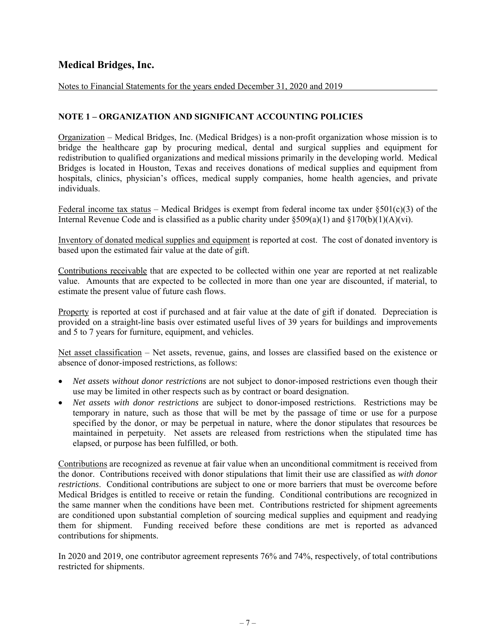Notes to Financial Statements for the years ended December 31, 2020 and 2019

### **NOTE 1 – ORGANIZATION AND SIGNIFICANT ACCOUNTING POLICIES**

Organization – Medical Bridges, Inc. (Medical Bridges) is a non-profit organization whose mission is to bridge the healthcare gap by procuring medical, dental and surgical supplies and equipment for redistribution to qualified organizations and medical missions primarily in the developing world. Medical Bridges is located in Houston, Texas and receives donations of medical supplies and equipment from hospitals, clinics, physician's offices, medical supply companies, home health agencies, and private individuals.

Federal income tax status – Medical Bridges is exempt from federal income tax under  $\S501(c)(3)$  of the Internal Revenue Code and is classified as a public charity under  $\S509(a)(1)$  and  $\S170(b)(1)(A)(vi)$ .

Inventory of donated medical supplies and equipment is reported at cost. The cost of donated inventory is based upon the estimated fair value at the date of gift.

Contributions receivable that are expected to be collected within one year are reported at net realizable value. Amounts that are expected to be collected in more than one year are discounted, if material, to estimate the present value of future cash flows.

Property is reported at cost if purchased and at fair value at the date of gift if donated. Depreciation is provided on a straight-line basis over estimated useful lives of 39 years for buildings and improvements and 5 to 7 years for furniture, equipment, and vehicles.

Net asset classification – Net assets, revenue, gains, and losses are classified based on the existence or absence of donor-imposed restrictions, as follows:

- *Net assets without donor restrictions* are not subject to donor-imposed restrictions even though their use may be limited in other respects such as by contract or board designation.
- *Net assets with donor restrictions* are subject to donor-imposed restrictions. Restrictions may be temporary in nature, such as those that will be met by the passage of time or use for a purpose specified by the donor, or may be perpetual in nature, where the donor stipulates that resources be maintained in perpetuity. Net assets are released from restrictions when the stipulated time has elapsed, or purpose has been fulfilled, or both.

Contributions are recognized as revenue at fair value when an unconditional commitment is received from the donor. Contributions received with donor stipulations that limit their use are classified as *with donor restrictions*. Conditional contributions are subject to one or more barriers that must be overcome before Medical Bridges is entitled to receive or retain the funding. Conditional contributions are recognized in the same manner when the conditions have been met. Contributions restricted for shipment agreements are conditioned upon substantial completion of sourcing medical supplies and equipment and readying them for shipment. Funding received before these conditions are met is reported as advanced contributions for shipments.

In 2020 and 2019, one contributor agreement represents 76% and 74%, respectively, of total contributions restricted for shipments.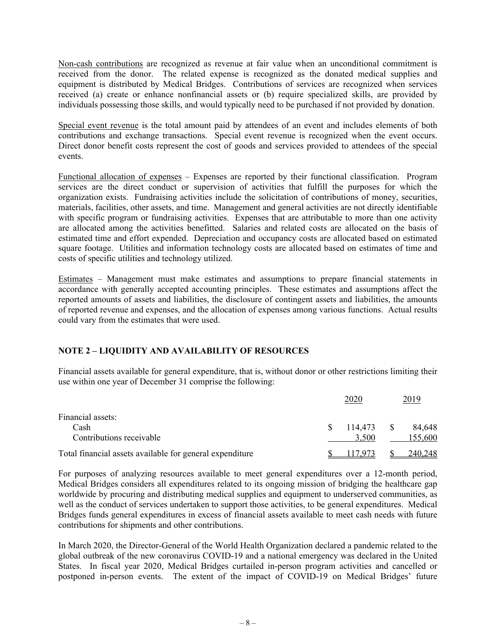Non-cash contributions are recognized as revenue at fair value when an unconditional commitment is received from the donor. The related expense is recognized as the donated medical supplies and equipment is distributed by Medical Bridges. Contributions of services are recognized when services received (a) create or enhance nonfinancial assets or (b) require specialized skills, are provided by individuals possessing those skills, and would typically need to be purchased if not provided by donation.

Special event revenue is the total amount paid by attendees of an event and includes elements of both contributions and exchange transactions. Special event revenue is recognized when the event occurs. Direct donor benefit costs represent the cost of goods and services provided to attendees of the special events.

Functional allocation of expenses – Expenses are reported by their functional classification. Program services are the direct conduct or supervision of activities that fulfill the purposes for which the organization exists. Fundraising activities include the solicitation of contributions of money, securities, materials, facilities, other assets, and time. Management and general activities are not directly identifiable with specific program or fundraising activities. Expenses that are attributable to more than one activity are allocated among the activities benefitted. Salaries and related costs are allocated on the basis of estimated time and effort expended. Depreciation and occupancy costs are allocated based on estimated square footage. Utilities and information technology costs are allocated based on estimates of time and costs of specific utilities and technology utilized.

Estimates – Management must make estimates and assumptions to prepare financial statements in accordance with generally accepted accounting principles. These estimates and assumptions affect the reported amounts of assets and liabilities, the disclosure of contingent assets and liabilities, the amounts of reported revenue and expenses, and the allocation of expenses among various functions. Actual results could vary from the estimates that were used.

### **NOTE 2 – LIQUIDITY AND AVAILABILITY OF RESOURCES**

Financial assets available for general expenditure, that is, without donor or other restrictions limiting their use within one year of December 31 comprise the following:

|                                                          |    | 2020         | 2019    |
|----------------------------------------------------------|----|--------------|---------|
| Financial assets:                                        |    |              |         |
| Cash                                                     | S. | $114,473$ \$ | 84.648  |
| Contributions receivable                                 |    | 3.500        | 155,600 |
| Total financial assets available for general expenditure |    | 117.973      | 240,248 |

For purposes of analyzing resources available to meet general expenditures over a 12-month period, Medical Bridges considers all expenditures related to its ongoing mission of bridging the healthcare gap worldwide by procuring and distributing medical supplies and equipment to underserved communities, as well as the conduct of services undertaken to support those activities, to be general expenditures. Medical Bridges funds general expenditures in excess of financial assets available to meet cash needs with future contributions for shipments and other contributions.

In March 2020, the Director-General of the World Health Organization declared a pandemic related to the global outbreak of the new coronavirus COVID-19 and a national emergency was declared in the United States. In fiscal year 2020, Medical Bridges curtailed in-person program activities and cancelled or postponed in-person events. The extent of the impact of COVID-19 on Medical Bridges' future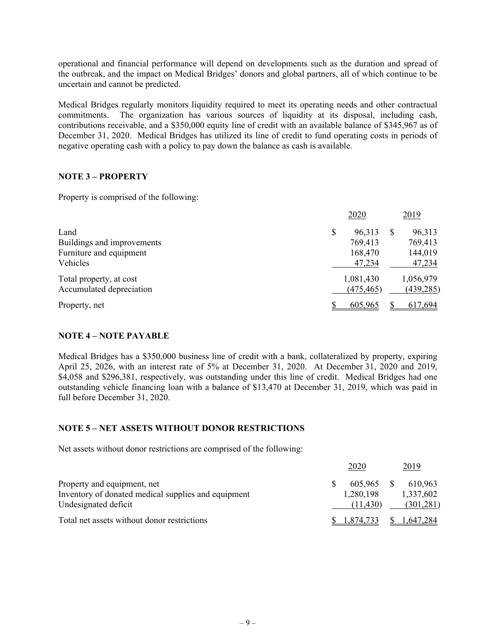operational and financial performance will depend on developments such as the duration and spread of the outbreak, and the impact on Medical Bridges' donors and global partners, all of which continue to be uncertain and cannot be predicted.

Medical Bridges regularly monitors liquidity required to meet its operating needs and other contractual commitments. The organization has various sources of liquidity at its disposal, including cash, contributions receivable, and a \$350,000 equity line of credit with an available balance of \$345,967 as of December 31, 2020. Medical Bridges has utilized its line of credit to fund operating costs in periods of negative operating cash with a policy to pay down the balance as cash is available.

### **NOTE 3 – PROPERTY**

Property is comprised of the following:

|                                                     | 2020                    | 2019                    |
|-----------------------------------------------------|-------------------------|-------------------------|
| Land<br>Buildings and improvements                  | \$<br>96,313<br>769,413 | 96,313<br>769,413       |
| Furniture and equipment<br>Vehicles                 | 168,470<br>47,234       | 144,019<br>47,234       |
| Total property, at cost<br>Accumulated depreciation | 1,081,430<br>(475, 465) | 1,056,979<br>(439, 285) |
| Property, net                                       | 605,965                 | 617.694                 |

### **NOTE 4 – NOTE PAYABLE**

Medical Bridges has a \$350,000 business line of credit with a bank, collateralized by property, expiring April 25, 2026, with an interest rate of 5% at December 31, 2020. At December 31, 2020 and 2019, \$4,058 and \$296,381, respectively, was outstanding under this line of credit. Medical Bridges had one outstanding vehicle financing loan with a balance of \$13,470 at December 31, 2019, which was paid in full before December 31, 2020.

#### **NOTE 5 – NET ASSETS WITHOUT DONOR RESTRICTIONS**

Net assets without donor restrictions are comprised of the following:

|                                                                                                            | 2020                             | 2019                               |
|------------------------------------------------------------------------------------------------------------|----------------------------------|------------------------------------|
| Property and equipment, net<br>Inventory of donated medical supplies and equipment<br>Undesignated deficit | 605,965<br>1,280,198<br>(11.430) | 610.963<br>1,337,602<br>(301, 281) |
| Total net assets without donor restrictions                                                                | 1,874,733                        | 1.647.284                          |